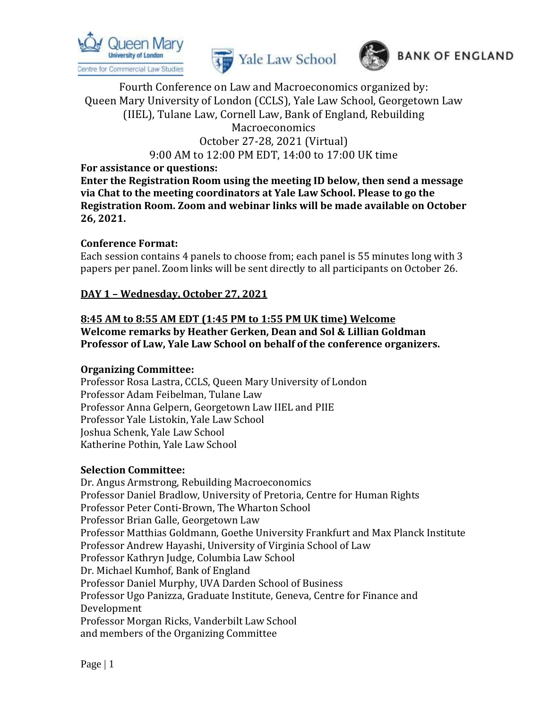





9:00 AM to 12:00 PM EDT, 14:00 to 17:00 UK time

**For assistance or questions:**

**Enter the Registration Room using the meeting ID below, then send a message via Chat to the meeting coordinators at Yale Law School. Please to go the Registration Room. Zoom and webinar links will be made available on October 26, 2021.** 

#### **Conference Format:**

Each session contains 4 panels to choose from; each panel is 55 minutes long with 3 papers per panel. Zoom links will be sent directly to all participants on October 26.

#### **DAY 1 – Wednesday, October 27, 2021**

#### **8:45 AM to 8:55 AM EDT (1:45 PM to 1:55 PM UK time) Welcome Welcome remarks by Heather Gerken, Dean and Sol & Lillian Goldman Professor of Law, Yale Law School on behalf of the conference organizers.**

#### **Organizing Committee:**

Professor Rosa Lastra, CCLS, Queen Mary University of London Professor Adam Feibelman, Tulane Law Professor Anna Gelpern, Georgetown Law IIEL and PIIE Professor Yale Listokin, Yale Law School Joshua Schenk, Yale Law School Katherine Pothin, Yale Law School

#### **Selection Committee:**

Dr. Angus Armstrong, Rebuilding Macroeconomics Professor Daniel Bradlow, University of Pretoria, Centre for Human Rights Professor Peter Conti-Brown, The Wharton School Professor Brian Galle, Georgetown Law Professor Matthias Goldmann, Goethe University Frankfurt and Max Planck Institute Professor Andrew Hayashi, University of Virginia School of Law Professor Kathryn Judge, Columbia Law School Dr. Michael Kumhof, Bank of England Professor Daniel Murphy, UVA Darden School of Business Professor Ugo Panizza, Graduate Institute, Geneva, Centre for Finance and Development Professor Morgan Ricks, Vanderbilt Law School and members of the Organizing Committee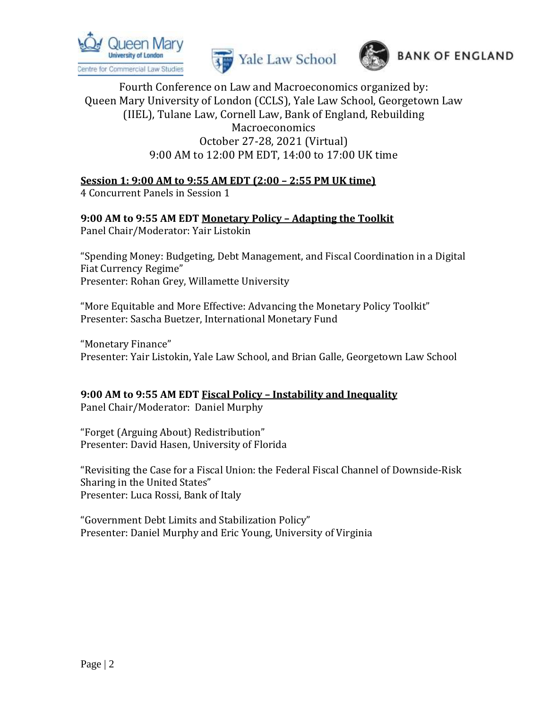





# **Session 1: 9:00 AM to 9:55 AM EDT (2:00 – 2:55 PM UK time)**

4 Concurrent Panels in Session 1

# **9:00 AM to 9:55 AM EDT Monetary Policy – Adapting the Toolkit**

Panel Chair/Moderator: Yair Listokin

"Spending Money: Budgeting, Debt Management, and Fiscal Coordination in a Digital Fiat Currency Regime" Presenter: Rohan Grey, Willamette University

"More Equitable and More Effective: Advancing the Monetary Policy Toolkit" Presenter: Sascha Buetzer, International Monetary Fund

"Monetary Finance" Presenter: Yair Listokin, Yale Law School, and Brian Galle, Georgetown Law School

#### **9:00 AM to 9:55 AM EDT Fiscal Policy – Instability and Inequality** Panel Chair/Moderator: Daniel Murphy

"Forget (Arguing About) Redistribution" Presenter: David Hasen, University of Florida

"Revisiting the Case for a Fiscal Union: the Federal Fiscal Channel of Downside-Risk Sharing in the United States" Presenter: Luca Rossi, Bank of Italy

"Government Debt Limits and Stabilization Policy" Presenter: Daniel Murphy and Eric Young, University of Virginia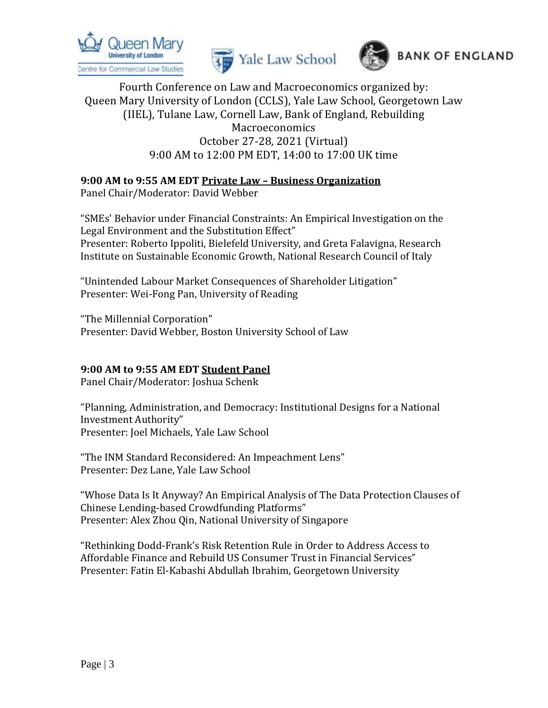





## **9:00 AM to 9:55 AM EDT Private Law – Business Organization**

Panel Chair/Moderator: David Webber

"SMEs' Behavior under Financial Constraints: An Empirical Investigation on the Legal Environment and the Substitution Effect" Presenter: Roberto Ippoliti, Bielefeld University, and Greta Falavigna, Research Institute on Sustainable Economic Growth, National Research Council of Italy

"Unintended Labour Market Consequences of Shareholder Litigation" Presenter: Wei-Fong Pan, University of Reading

"The Millennial Corporation" Presenter: David Webber, Boston University School of Law

#### **9:00 AM to 9:55 AM EDT Student Panel**

Panel Chair/Moderator: Joshua Schenk

"Planning, Administration, and Democracy: Institutional Designs for a National Investment Authority" Presenter: Joel Michaels, Yale Law School

"The INM Standard Reconsidered: An Impeachment Lens" Presenter: Dez Lane, Yale Law School

"Whose Data Is It Anyway? An Empirical Analysis of The Data Protection Clauses of Chinese Lending-based Crowdfunding Platforms" Presenter: Alex Zhou Qin, National University of Singapore

"Rethinking Dodd-Frank's Risk Retention Rule in Order to Address Access to Affordable Finance and Rebuild US Consumer Trust in Financial Services" Presenter: Fatin El-Kabashi Abdullah Ibrahim, Georgetown University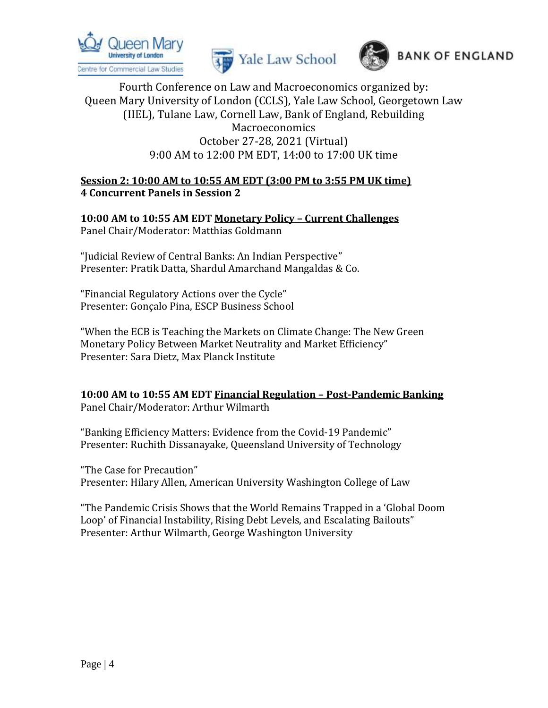





### **Session 2: 10:00 AM to 10:55 AM EDT (3:00 PM to 3:55 PM UK time) 4 Concurrent Panels in Session 2**

**10:00 AM to 10:55 AM EDT Monetary Policy – Current Challenges** Panel Chair/Moderator: Matthias Goldmann

"Judicial Review of Central Banks: An Indian Perspective" Presenter: Pratik Datta, Shardul Amarchand Mangaldas & Co.

"Financial Regulatory Actions over the Cycle" Presenter: Gonçalo Pina, ESCP Business School

"When the ECB is Teaching the Markets on Climate Change: The New Green Monetary Policy Between Market Neutrality and Market Efficiency" Presenter: Sara Dietz, Max Planck Institute

**10:00 AM to 10:55 AM EDT Financial Regulation – Post-Pandemic Banking** Panel Chair/Moderator: Arthur Wilmarth

"Banking Efficiency Matters: Evidence from the Covid-19 Pandemic" Presenter: Ruchith Dissanayake, Queensland University of Technology

"The Case for Precaution" Presenter: Hilary Allen, American University Washington College of Law

"The Pandemic Crisis Shows that the World Remains Trapped in a 'Global Doom Loop' of Financial Instability, Rising Debt Levels, and Escalating Bailouts" Presenter: Arthur Wilmarth, George Washington University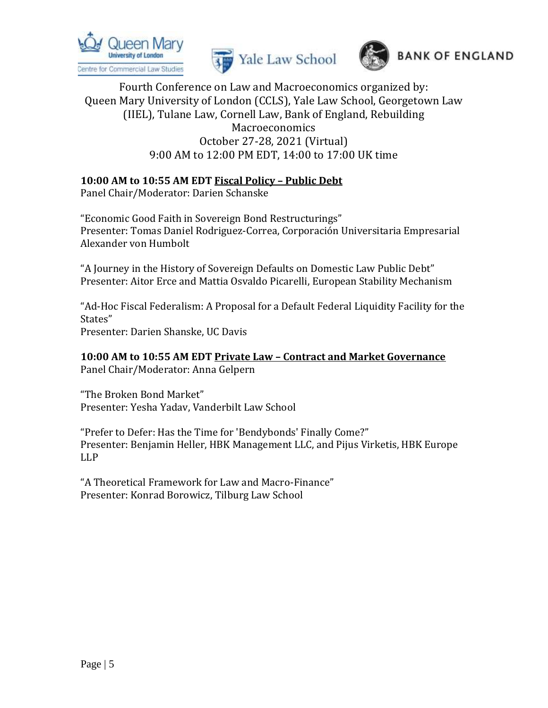





#### **10:00 AM to 10:55 AM EDT Fiscal Policy – Public Debt**

Panel Chair/Moderator: Darien Schanske

"Economic Good Faith in Sovereign Bond Restructurings" Presenter: Tomas Daniel Rodriguez-Correa, Corporación Universitaria Empresarial Alexander von Humbolt

"A Journey in the History of Sovereign Defaults on Domestic Law Public Debt" Presenter: Aitor Erce and Mattia Osvaldo Picarelli, European Stability Mechanism

"Ad-Hoc Fiscal Federalism: A Proposal for a Default Federal Liquidity Facility for the States" Presenter: Darien Shanske, UC Davis

**10:00 AM to 10:55 AM EDT Private Law – Contract and Market Governance** Panel Chair/Moderator: Anna Gelpern

"The Broken Bond Market" Presenter: Yesha Yadav, Vanderbilt Law School

"Prefer to Defer: Has the Time for 'Bendybonds' Finally Come?" Presenter: Benjamin Heller, HBK Management LLC, and Pijus Virketis, HBK Europe LLP

"A Theoretical Framework for Law and Macro-Finance" Presenter: Konrad Borowicz, Tilburg Law School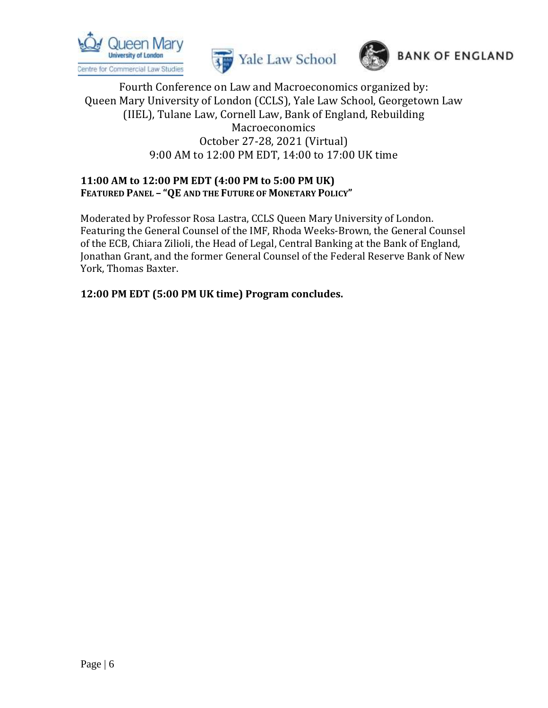





### **11:00 AM to 12:00 PM EDT (4:00 PM to 5:00 PM UK) FEATURED PANEL – "QE AND THE FUTURE OF MONETARY POLICY"**

Moderated by Professor Rosa Lastra, CCLS Queen Mary University of London. Featuring the General Counsel of the IMF, Rhoda Weeks-Brown, the General Counsel of the ECB, Chiara Zilioli, the Head of Legal, Central Banking at the Bank of England, Jonathan Grant, and the former General Counsel of the Federal Reserve Bank of New York, Thomas Baxter.

**12:00 PM EDT (5:00 PM UK time) Program concludes.**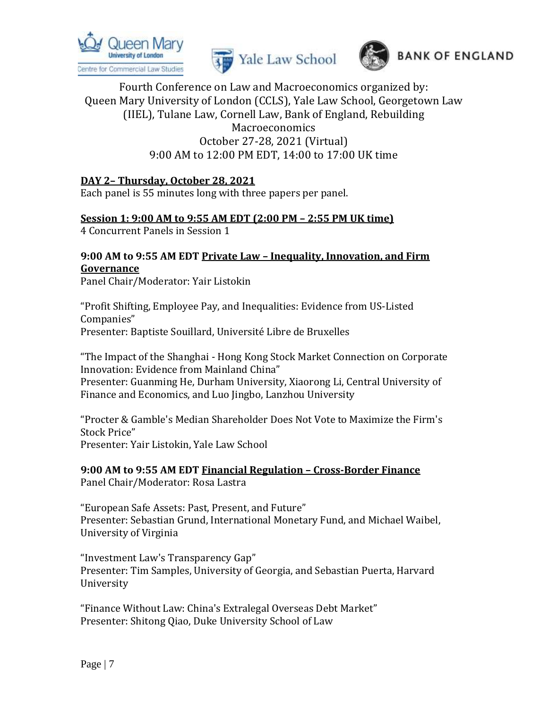





### **DAY 2– Thursday, October 28, 2021**

Each panel is 55 minutes long with three papers per panel.

#### **Session 1: 9:00 AM to 9:55 AM EDT (2:00 PM – 2:55 PM UK time)**

4 Concurrent Panels in Session 1

### **9:00 AM to 9:55 AM EDT Private Law – Inequality, Innovation, and Firm Governance**

Panel Chair/Moderator: Yair Listokin

"Profit Shifting, Employee Pay, and Inequalities: Evidence from US-Listed Companies" Presenter: Baptiste Souillard, Université Libre de Bruxelles

"The Impact of the Shanghai - Hong Kong Stock Market Connection on Corporate Innovation: Evidence from Mainland China" Presenter: Guanming He, Durham University, Xiaorong Li, Central University of Finance and Economics, and Luo Jingbo, Lanzhou University

"Procter & Gamble's Median Shareholder Does Not Vote to Maximize the Firm's Stock Price" Presenter: Yair Listokin, Yale Law School

#### **9:00 AM to 9:55 AM EDT Financial Regulation – Cross-Border Finance** Panel Chair/Moderator: Rosa Lastra

"European Safe Assets: Past, Present, and Future" Presenter: Sebastian Grund, International Monetary Fund, and Michael Waibel, University of Virginia

"Investment Law's Transparency Gap" Presenter: Tim Samples, University of Georgia, and Sebastian Puerta, Harvard University

"Finance Without Law: China's Extralegal Overseas Debt Market" Presenter: Shitong Qiao, Duke University School of Law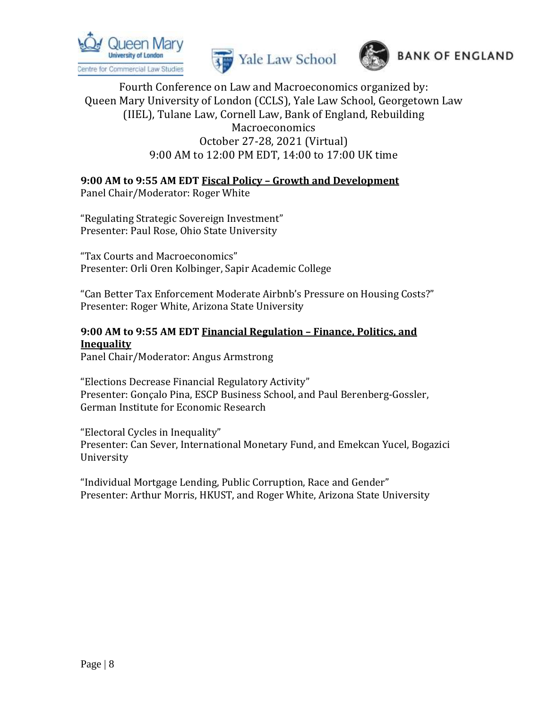





# **9:00 AM to 9:55 AM EDT Fiscal Policy – Growth and Development**

Panel Chair/Moderator: Roger White

"Regulating Strategic Sovereign Investment" Presenter: Paul Rose, Ohio State University

"Tax Courts and Macroeconomics" Presenter: Orli Oren Kolbinger, Sapir Academic College

"Can Better Tax Enforcement Moderate Airbnb's Pressure on Housing Costs?" Presenter: Roger White, Arizona State University

# **9:00 AM to 9:55 AM EDT Financial Regulation – Finance, Politics, and Inequality**

Panel Chair/Moderator: Angus Armstrong

"Elections Decrease Financial Regulatory Activity" Presenter: Gonçalo Pina, ESCP Business School, and Paul Berenberg-Gossler, German Institute for Economic Research

"Electoral Cycles in Inequality" Presenter: Can Sever, International Monetary Fund, and Emekcan Yucel, Bogazici University

"Individual Mortgage Lending, Public Corruption, Race and Gender" Presenter: Arthur Morris, HKUST, and Roger White, Arizona State University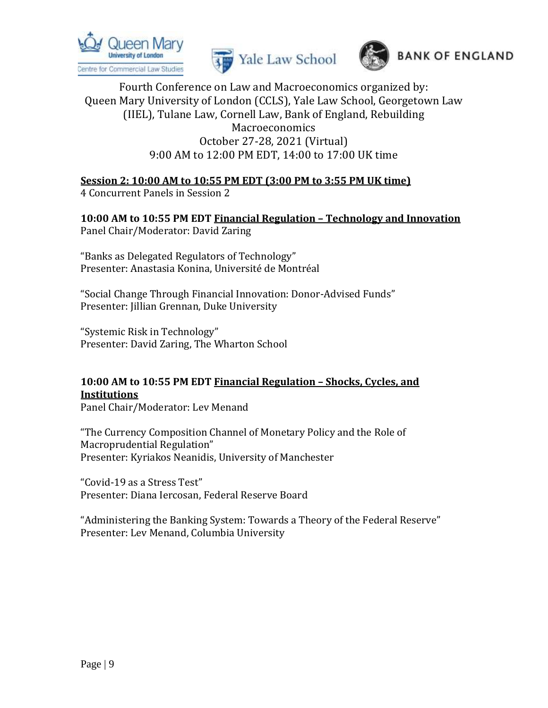





# **Session 2: 10:00 AM to 10:55 PM EDT (3:00 PM to 3:55 PM UK time)**

4 Concurrent Panels in Session 2

**10:00 AM to 10:55 PM EDT Financial Regulation – Technology and Innovation** Panel Chair/Moderator: David Zaring

"Banks as Delegated Regulators of Technology" Presenter: Anastasia Konina, Université de Montréal

"Social Change Through Financial Innovation: Donor-Advised Funds" Presenter: Jillian Grennan, Duke University

"Systemic Risk in Technology" Presenter: David Zaring, The Wharton School

# **10:00 AM to 10:55 PM EDT Financial Regulation – Shocks, Cycles, and Institutions**

Panel Chair/Moderator: Lev Menand

"The Currency Composition Channel of Monetary Policy and the Role of Macroprudential Regulation" Presenter: Kyriakos Neanidis, University of Manchester

"Covid-19 as a Stress Test" Presenter: Diana Iercosan, Federal Reserve Board

"Administering the Banking System: Towards a Theory of the Federal Reserve" Presenter: Lev Menand, Columbia University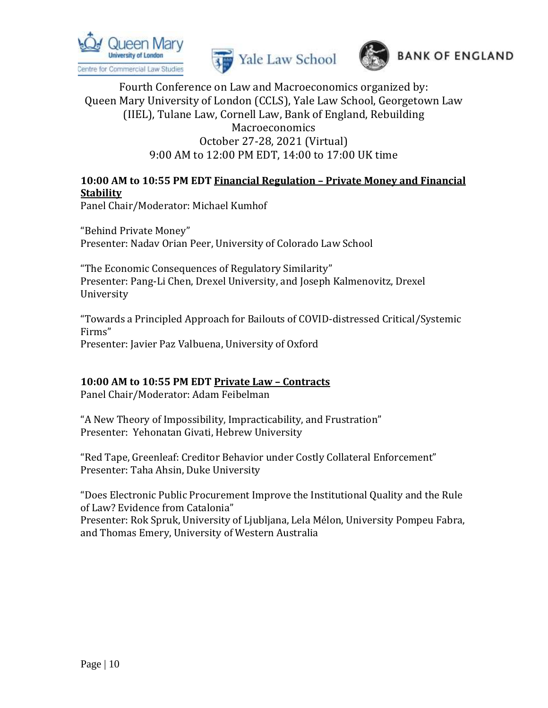





# **10:00 AM to 10:55 PM EDT Financial Regulation – Private Money and Financial Stability**

Panel Chair/Moderator: Michael Kumhof

"Behind Private Money" Presenter: Nadav Orian Peer, University of Colorado Law School

"The Economic Consequences of Regulatory Similarity" Presenter: Pang-Li Chen, Drexel University, and Joseph Kalmenovitz, Drexel University

"Towards a Principled Approach for Bailouts of COVID-distressed Critical/Systemic Firms" Presenter: Javier Paz Valbuena, University of Oxford

# **10:00 AM to 10:55 PM EDT Private Law – Contracts**

Panel Chair/Moderator: Adam Feibelman

"A New Theory of Impossibility, Impracticability, and Frustration" Presenter: Yehonatan Givati, Hebrew University

"Red Tape, Greenleaf: Creditor Behavior under Costly Collateral Enforcement" Presenter: Taha Ahsin, Duke University

"Does Electronic Public Procurement Improve the Institutional Quality and the Rule of Law? Evidence from Catalonia" Presenter: Rok Spruk, University of Ljubljana, Lela Mélon, University Pompeu Fabra, and Thomas Emery, University of Western Australia